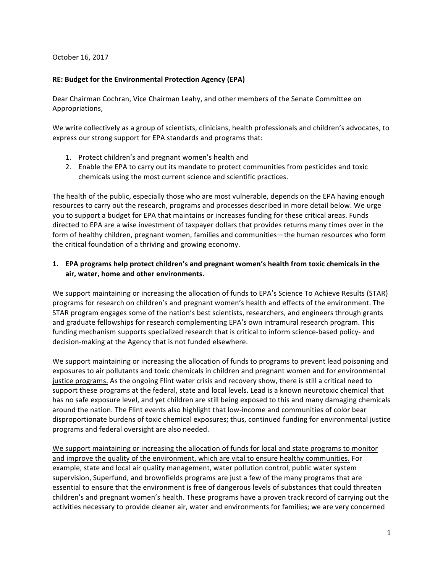October 16, 2017

## **RE: Budget for the Environmental Protection Agency (EPA)**

Dear Chairman Cochran, Vice Chairman Leahy, and other members of the Senate Committee on Appropriations,

We write collectively as a group of scientists, clinicians, health professionals and children's advocates, to express our strong support for EPA standards and programs that:

- 1. Protect children's and pregnant women's health and
- 2. Enable the EPA to carry out its mandate to protect communities from pesticides and toxic chemicals using the most current science and scientific practices.

The health of the public, especially those who are most vulnerable, depends on the EPA having enough resources to carry out the research, programs and processes described in more detail below. We urge you to support a budget for EPA that maintains or increases funding for these critical areas. Funds directed to EPA are a wise investment of taxpayer dollars that provides returns many times over in the form of healthy children, pregnant women, families and communities—the human resources who form the critical foundation of a thriving and growing economy.

## **1. EPA** programs help protect children's and pregnant women's health from toxic chemicals in the air, water, home and other environments.

We support maintaining or increasing the allocation of funds to EPA's Science To Achieve Results (STAR) programs for research on children's and pregnant women's health and effects of the environment. The STAR program engages some of the nation's best scientists, researchers, and engineers through grants and graduate fellowships for research complementing EPA's own intramural research program. This funding mechanism supports specialized research that is critical to inform science-based policy- and decision-making at the Agency that is not funded elsewhere.

We support maintaining or increasing the allocation of funds to programs to prevent lead poisoning and exposures to air pollutants and toxic chemicals in children and pregnant women and for environmental justice programs. As the ongoing Flint water crisis and recovery show, there is still a critical need to support these programs at the federal, state and local levels. Lead is a known neurotoxic chemical that has no safe exposure level, and yet children are still being exposed to this and many damaging chemicals around the nation. The Flint events also highlight that low-income and communities of color bear disproportionate burdens of toxic chemical exposures; thus, continued funding for environmental justice programs and federal oversight are also needed.

We support maintaining or increasing the allocation of funds for local and state programs to monitor and improve the quality of the environment, which are vital to ensure healthy communities. For example, state and local air quality management, water pollution control, public water system supervision, Superfund, and brownfields programs are just a few of the many programs that are essential to ensure that the environment is free of dangerous levels of substances that could threaten children's and pregnant women's health. These programs have a proven track record of carrying out the activities necessary to provide cleaner air, water and environments for families; we are very concerned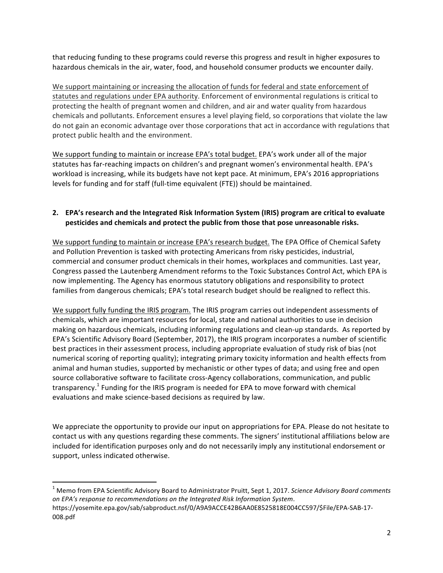that reducing funding to these programs could reverse this progress and result in higher exposures to hazardous chemicals in the air, water, food, and household consumer products we encounter daily.

We support maintaining or increasing the allocation of funds for federal and state enforcement of statutes and regulations under EPA authority. Enforcement of environmental regulations is critical to protecting the health of pregnant women and children, and air and water quality from hazardous chemicals and pollutants. Enforcement ensures a level playing field, so corporations that violate the law do not gain an economic advantage over those corporations that act in accordance with regulations that protect public health and the environment.

We support funding to maintain or increase EPA's total budget. EPA's work under all of the major statutes has far-reaching impacts on children's and pregnant women's environmental health. EPA's workload is increasing, while its budgets have not kept pace. At minimum, EPA's 2016 appropriations levels for funding and for staff (full-time equivalent (FTE)) should be maintained.

## **2. EPA's research and the Integrated Risk Information System (IRIS) program are critical to evaluate** pesticides and chemicals and protect the public from those that pose unreasonable risks.

We support funding to maintain or increase EPA's research budget. The EPA Office of Chemical Safety and Pollution Prevention is tasked with protecting Americans from risky pesticides, industrial, commercial and consumer product chemicals in their homes, workplaces and communities. Last year, Congress passed the Lautenberg Amendment reforms to the Toxic Substances Control Act, which EPA is now implementing. The Agency has enormous statutory obligations and responsibility to protect families from dangerous chemicals; EPA's total research budget should be realigned to reflect this.

We support fully funding the IRIS program. The IRIS program carries out independent assessments of chemicals, which are important resources for local, state and national authorities to use in decision making on hazardous chemicals, including informing regulations and clean-up standards. As reported by EPA's Scientific Advisory Board (September, 2017), the IRIS program incorporates a number of scientific best practices in their assessment process, including appropriate evaluation of study risk of bias (not numerical scoring of reporting quality); integrating primary toxicity information and health effects from animal and human studies, supported by mechanistic or other types of data; and using free and open source collaborative software to facilitate cross-Agency collaborations, communication, and public transparency.<sup>1</sup> Funding for the IRIS program is needed for EPA to move forward with chemical evaluations and make science-based decisions as required by law.

We appreciate the opportunity to provide our input on appropriations for EPA. Please do not hesitate to contact us with any questions regarding these comments. The signers' institutional affiliations below are included for identification purposes only and do not necessarily imply any institutional endorsement or support, unless indicated otherwise.

<u> 1989 - Johann Stein, markin film yn y breninn y breninn y breninn y breninn y breninn y breninn y breninn y b</u>

<sup>&</sup>lt;sup>1</sup> Memo from EPA Scientific Advisory Board to Administrator Pruitt, Sept 1, 2017. *Science Advisory Board comments* on EPA's response to recommendations on the Integrated Risk Information System. https://yosemite.epa.gov/sab/sabproduct.nsf/0/A9A9ACCE42B6AA0E8525818E004CC597/\$File/EPA-SAB-17-

<sup>008.</sup>pdf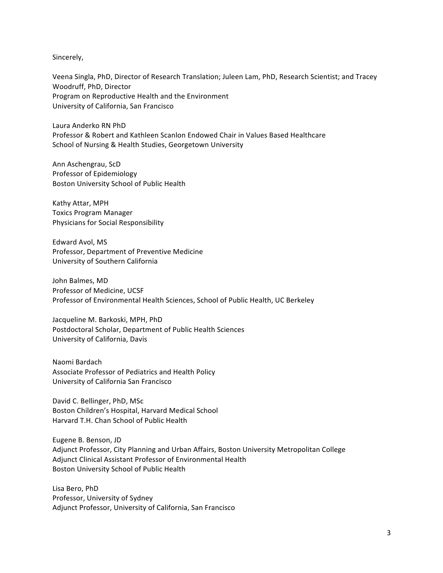Sincerely,

Veena Singla, PhD, Director of Research Translation; Juleen Lam, PhD, Research Scientist; and Tracey Woodruff, PhD, Director Program on Reproductive Health and the Environment University of California, San Francisco

Laura Anderko RN PhD Professor & Robert and Kathleen Scanlon Endowed Chair in Values Based Healthcare School of Nursing & Health Studies, Georgetown University

Ann Aschengrau, ScD Professor of Epidemiology Boston University School of Public Health

Kathy Attar, MPH Toxics Program Manager Physicians for Social Responsibility

Edward Avol, MS Professor, Department of Preventive Medicine University of Southern California

John Balmes, MD Professor of Medicine, UCSF Professor of Environmental Health Sciences, School of Public Health, UC Berkeley

Jacqueline M. Barkoski, MPH, PhD Postdoctoral Scholar, Department of Public Health Sciences University of California, Davis

Naomi Bardach Associate Professor of Pediatrics and Health Policy University of California San Francisco

David C. Bellinger, PhD, MSc Boston Children's Hospital, Harvard Medical School Harvard T.H. Chan School of Public Health

Eugene B. Benson, JD Adjunct Professor, City Planning and Urban Affairs, Boston University Metropolitan College Adjunct Clinical Assistant Professor of Environmental Health Boston University School of Public Health

Lisa Bero, PhD Professor, University of Sydney Adjunct Professor, University of California, San Francisco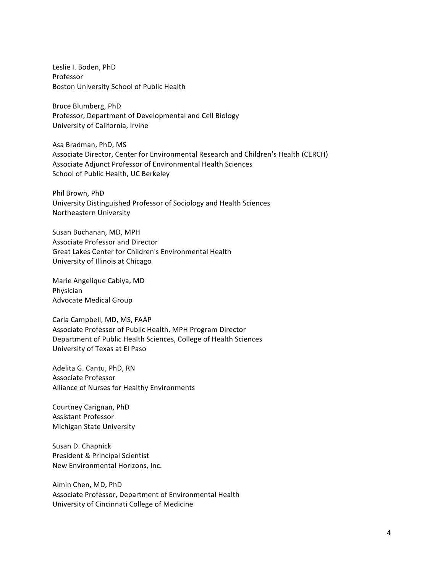Leslie I. Boden, PhD Professor Boston University School of Public Health

Bruce Blumberg, PhD Professor, Department of Developmental and Cell Biology University of California, Irvine

Asa Bradman, PhD, MS Associate Director, Center for Environmental Research and Children's Health (CERCH) Associate Adjunct Professor of Environmental Health Sciences School of Public Health, UC Berkeley

Phil Brown, PhD University Distinguished Professor of Sociology and Health Sciences Northeastern University

Susan Buchanan, MD, MPH Associate Professor and Director Great Lakes Center for Children's Environmental Health University of Illinois at Chicago

Marie Angelique Cabiya, MD Physician Advocate Medical Group

Carla Campbell, MD, MS, FAAP Associate Professor of Public Health, MPH Program Director Department of Public Health Sciences, College of Health Sciences University of Texas at El Paso

Adelita G. Cantu, PhD, RN Associate Professor Alliance of Nurses for Healthy Environments

Courtney Carignan, PhD Assistant Professor Michigan State University

Susan D. Chapnick President & Principal Scientist New Environmental Horizons, Inc.

Aimin Chen, MD, PhD Associate Professor, Department of Environmental Health University of Cincinnati College of Medicine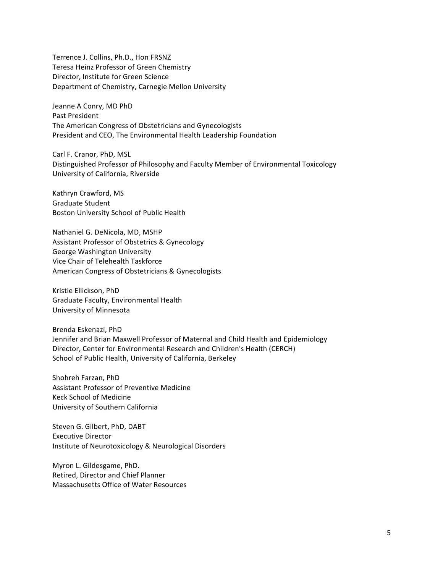Terrence J. Collins, Ph.D., Hon FRSNZ Teresa Heinz Professor of Green Chemistry Director, Institute for Green Science Department of Chemistry, Carnegie Mellon University

Jeanne A Conry, MD PhD Past President The American Congress of Obstetricians and Gynecologists President and CEO, The Environmental Health Leadership Foundation

Carl F. Cranor, PhD, MSL Distinguished Professor of Philosophy and Faculty Member of Environmental Toxicology University of California, Riverside

Kathryn Crawford, MS Graduate Student Boston University School of Public Health

Nathaniel G. DeNicola, MD, MSHP Assistant Professor of Obstetrics & Gynecology George Washington University Vice Chair of Telehealth Taskforce American Congress of Obstetricians & Gynecologists

Kristie Ellickson, PhD Graduate Faculty, Environmental Health University of Minnesota

Brenda Eskenazi, PhD Jennifer and Brian Maxwell Professor of Maternal and Child Health and Epidemiology Director, Center for Environmental Research and Children's Health (CERCH) School of Public Health, University of California, Berkeley

Shohreh Farzan, PhD Assistant Professor of Preventive Medicine Keck School of Medicine University of Southern California

Steven G. Gilbert, PhD, DABT Executive Director Institute of Neurotoxicology & Neurological Disorders

Myron L. Gildesgame, PhD. Retired, Director and Chief Planner Massachusetts Office of Water Resources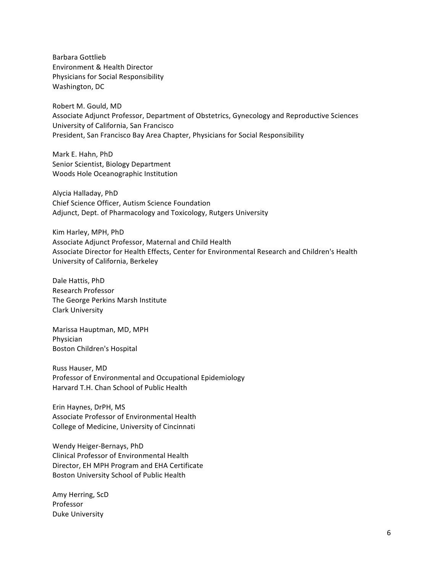Barbara Gottlieb Environment & Health Director Physicians for Social Responsibility Washington, DC

Robert M. Gould, MD Associate Adjunct Professor, Department of Obstetrics, Gynecology and Reproductive Sciences University of California, San Francisco President, San Francisco Bay Area Chapter, Physicians for Social Responsibility

Mark E. Hahn, PhD Senior Scientist, Biology Department Woods Hole Oceanographic Institution

Alycia Halladay, PhD Chief Science Officer, Autism Science Foundation Adjunct, Dept. of Pharmacology and Toxicology, Rutgers University

Kim Harley, MPH, PhD Associate Adjunct Professor, Maternal and Child Health Associate Director for Health Effects, Center for Environmental Research and Children's Health University of California, Berkeley

Dale Hattis, PhD Research Professor The George Perkins Marsh Institute Clark University

Marissa Hauptman, MD, MPH Physician Boston Children's Hospital

Russ Hauser, MD Professor of Environmental and Occupational Epidemiology Harvard T.H. Chan School of Public Health

Erin Haynes, DrPH, MS Associate Professor of Environmental Health College of Medicine, University of Cincinnati

Wendy Heiger-Bernays, PhD Clinical Professor of Environmental Health Director, EH MPH Program and EHA Certificate Boston University School of Public Health

Amy Herring, ScD Professor Duke University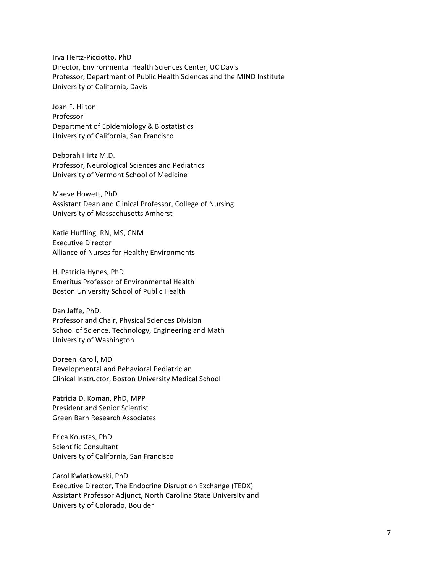Irva Hertz-Picciotto, PhD Director, Environmental Health Sciences Center, UC Davis Professor, Department of Public Health Sciences and the MIND Institute University of California, Davis

Joan F. Hilton Professor Department of Epidemiology & Biostatistics University of California, San Francisco

Deborah Hirtz M.D. Professor, Neurological Sciences and Pediatrics University of Vermont School of Medicine

Maeve Howett, PhD Assistant Dean and Clinical Professor, College of Nursing University of Massachusetts Amherst

Katie Huffling, RN, MS, CNM Executive Director Alliance of Nurses for Healthy Environments

H. Patricia Hynes, PhD Emeritus Professor of Environmental Health Boston University School of Public Health

Dan Jaffe, PhD, Professor and Chair, Physical Sciences Division School of Science. Technology, Engineering and Math University of Washington

Doreen Karoll, MD Developmental and Behavioral Pediatrician Clinical Instructor, Boston University Medical School

Patricia D. Koman, PhD, MPP President and Senior Scientist Green Barn Research Associates

Erica Koustas, PhD Scientific Consultant University of California, San Francisco

Carol Kwiatkowski, PhD Executive Director, The Endocrine Disruption Exchange (TEDX) Assistant Professor Adjunct, North Carolina State University and University of Colorado, Boulder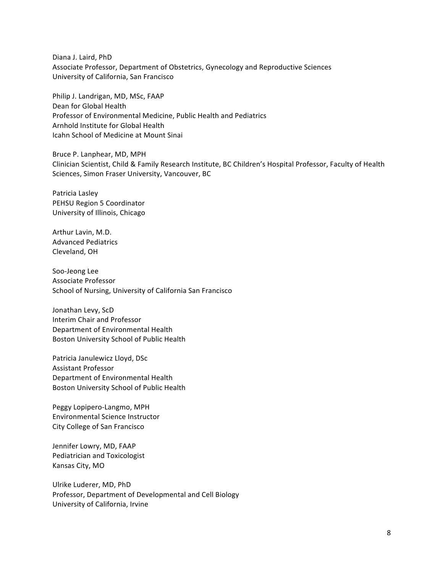Diana J. Laird, PhD Associate Professor, Department of Obstetrics, Gynecology and Reproductive Sciences University of California, San Francisco

Philip J. Landrigan, MD, MSc, FAAP Dean for Global Health Professor of Environmental Medicine, Public Health and Pediatrics Arnhold Institute for Global Health Icahn School of Medicine at Mount Sinai

Bruce P. Lanphear, MD, MPH Clinician Scientist, Child & Family Research Institute, BC Children's Hospital Professor, Faculty of Health Sciences, Simon Fraser University, Vancouver, BC

Patricia Lasley PEHSU Region 5 Coordinator University of Illinois, Chicago

Arthur Lavin, M.D. Advanced Pediatrics Cleveland, OH

Soo-Jeong Lee Associate Professor School of Nursing, University of California San Francisco

Jonathan Levy, ScD Interim Chair and Professor Department of Environmental Health Boston University School of Public Health

Patricia Janulewicz Lloyd, DSc Assistant Professor Department of Environmental Health Boston University School of Public Health

Peggy Lopipero-Langmo, MPH Environmental Science Instructor City College of San Francisco

Jennifer Lowry, MD, FAAP Pediatrician and Toxicologist Kansas City, MO

Ulrike Luderer, MD, PhD Professor, Department of Developmental and Cell Biology University of California, Irvine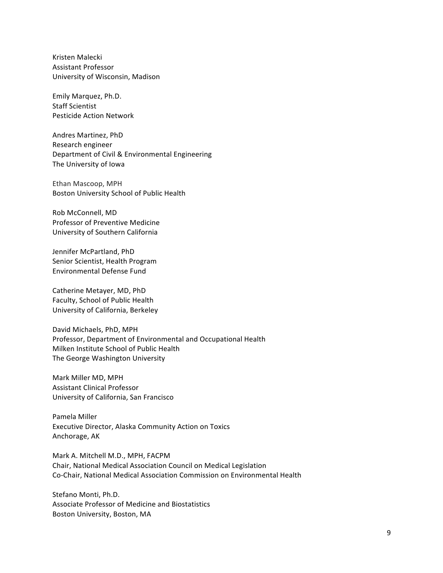Kristen Malecki Assistant Professor University of Wisconsin, Madison

Emily Marquez, Ph.D. Staff Scientist Pesticide Action Network

Andres Martinez, PhD Research engineer Department of Civil & Environmental Engineering The University of Iowa

Ethan Mascoop, MPH Boston University School of Public Health

Rob McConnell, MD Professor of Preventive Medicine University of Southern California

Jennifer McPartland, PhD Senior Scientist, Health Program Environmental Defense Fund

Catherine Metayer, MD, PhD Faculty, School of Public Health University of California, Berkeley

David Michaels, PhD, MPH Professor, Department of Environmental and Occupational Health Milken Institute School of Public Health The George Washington University

Mark Miller MD, MPH Assistant Clinical Professor University of California, San Francisco

Pamela Miller Executive Director, Alaska Community Action on Toxics Anchorage, AK

Mark A. Mitchell M.D., MPH, FACPM Chair, National Medical Association Council on Medical Legislation Co-Chair, National Medical Association Commission on Environmental Health

Stefano Monti, Ph.D. Associate Professor of Medicine and Biostatistics Boston University, Boston, MA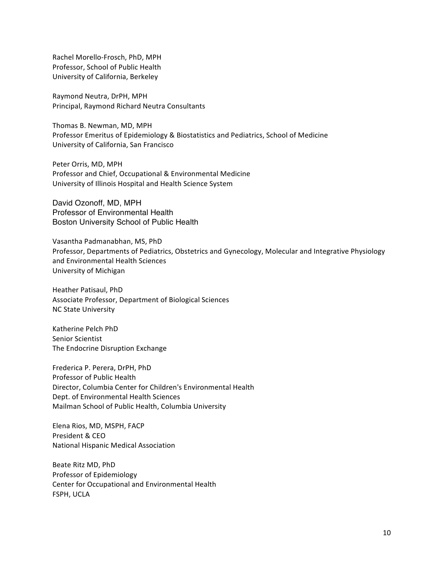Rachel Morello-Frosch, PhD, MPH Professor, School of Public Health University of California, Berkeley

Raymond Neutra, DrPH, MPH Principal, Raymond Richard Neutra Consultants

Thomas B. Newman, MD, MPH Professor Emeritus of Epidemiology & Biostatistics and Pediatrics, School of Medicine University of California, San Francisco

Peter Orris, MD, MPH Professor and Chief, Occupational & Environmental Medicine University of Illinois Hospital and Health Science System

David Ozonoff, MD, MPH Professor of Environmental Health Boston University School of Public Health

Vasantha Padmanabhan, MS, PhD Professor, Departments of Pediatrics, Obstetrics and Gynecology, Molecular and Integrative Physiology and Environmental Health Sciences University of Michigan

Heather Patisaul, PhD Associate Professor, Department of Biological Sciences NC State University

Katherine Pelch PhD Senior Scientist The Endocrine Disruption Exchange

Frederica P. Perera, DrPH, PhD Professor of Public Health Director, Columbia Center for Children's Environmental Health Dept. of Environmental Health Sciences Mailman School of Public Health, Columbia University

Elena Rios, MD, MSPH, FACP President & CEO National Hispanic Medical Association

Beate Ritz MD, PhD Professor of Epidemiology Center for Occupational and Environmental Health **FSPH, UCLA**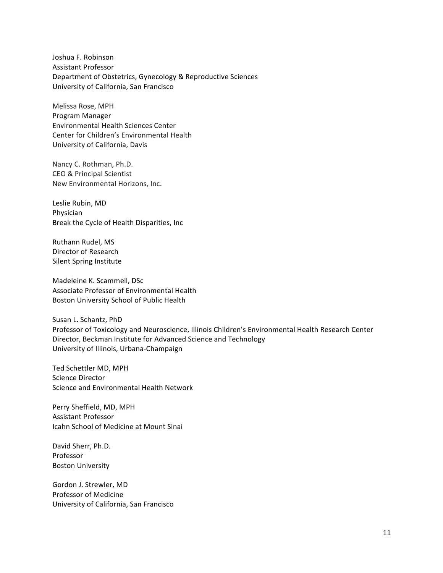Joshua F. Robinson Assistant Professor Department of Obstetrics, Gynecology & Reproductive Sciences University of California, San Francisco

Melissa Rose, MPH Program Manager Environmental Health Sciences Center Center for Children's Environmental Health University of California, Davis

Nancy C. Rothman, Ph.D. CEO & Principal Scientist New Environmental Horizons, Inc.

Leslie Rubin, MD Physician Break the Cycle of Health Disparities, Inc

Ruthann Rudel, MS Director of Research Silent Spring Institute

Madeleine K. Scammell, DSc Associate Professor of Environmental Health Boston University School of Public Health

Susan L. Schantz, PhD Professor of Toxicology and Neuroscience, Illinois Children's Environmental Health Research Center Director, Beckman Institute for Advanced Science and Technology University of Illinois, Urbana-Champaign

Ted Schettler MD, MPH Science Director Science and Environmental Health Network

Perry Sheffield, MD, MPH Assistant Professor Icahn School of Medicine at Mount Sinai

David Sherr, Ph.D. Professor **Boston University** 

Gordon J. Strewler, MD Professor of Medicine University of California, San Francisco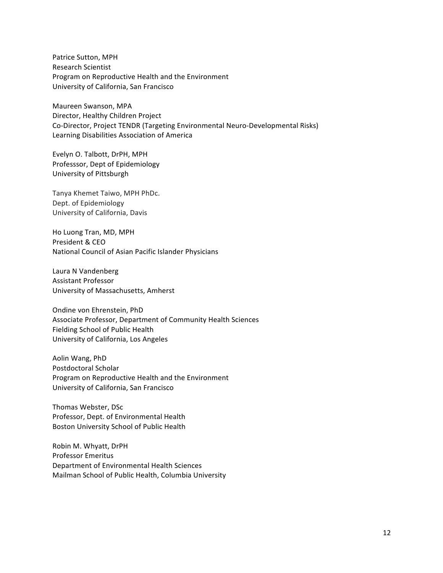Patrice Sutton, MPH Research Scientist Program on Reproductive Health and the Environment University of California, San Francisco

Maureen Swanson, MPA Director, Healthy Children Project Co-Director, Project TENDR (Targeting Environmental Neuro-Developmental Risks) Learning Disabilities Association of America

Evelyn O. Talbott, DrPH, MPH Professsor, Dept of Epidemiology University of Pittsburgh

Tanya Khemet Taiwo, MPH PhDc. Dept. of Epidemiology University of California, Davis

Ho Luong Tran, MD, MPH President & CEO National Council of Asian Pacific Islander Physicians

Laura N Vandenberg Assistant Professor University of Massachusetts, Amherst

Ondine von Ehrenstein, PhD Associate Professor, Department of Community Health Sciences Fielding School of Public Health University of California, Los Angeles

Aolin Wang, PhD Postdoctoral Scholar Program on Reproductive Health and the Environment University of California, San Francisco

Thomas Webster, DSc Professor, Dept. of Environmental Health Boston University School of Public Health

Robin M. Whyatt, DrPH Professor Emeritus Department of Environmental Health Sciences Mailman School of Public Health, Columbia University